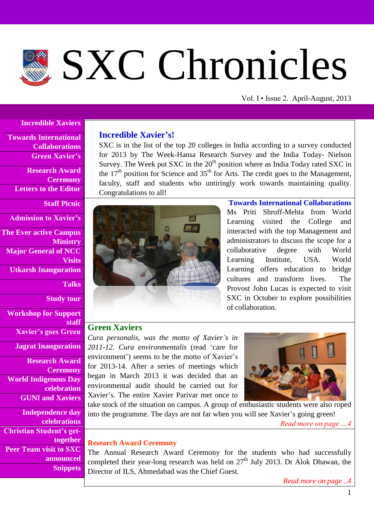# SXC Chronicles

Vol. I • Issue 2. April-August, 2013

#### **Incredible Xaviers**

**Towards International Collaborations Green Xavier's**

**Research Award Ceremony Letters to the Editor**

### **Staff Picnic**

**Admission to Xavier's**

**The Ever active Campus Ministry Major General of NCC Visits Utkarsh Inauguration**

**Talks**

**Study tour**

**Workshop for Support staff**

**Xavier's goes Green**

**Jagrat Inauguration**

**Research Award Ceremony World Indigenous Day celebration GUNI and Xaviers**

**Independence day celebrations Christian Student's gettogether Peer Team visit to SXC announced Snippets**

# **Incredible Xavier's!**

SXC is in the list of the top 20 colleges in India according to a survey conducted for 2013 by The Week-Hansa Research Survey and the India Today- Nielson Survey. The Week put SXC in the  $20<sup>th</sup>$  position where as India Today rated SXC in the  $17<sup>th</sup>$  position for Science and  $35<sup>th</sup>$  for Arts. The credit goes to the Management, faculty, staff and students who untiringly work towards maintaining quality. Congratulations to all!



**Towards International Collaborations** Ms Priti Shroff-Mehta from World Learning visited the College and interacted with the top Management and administrators to discuss the scope for a collaborative degree with World Learning Institute, USA. World Learning offers education to bridge cultures and transform lives. The Provost John Lucas is expected to visit SXC in October to explore possibilities of collaboration.

# **Green Xaviers**

*Cura personalis, was the motto of Xavier's in 2011-12. Cura environmentalis* (read 'care for environment') seems to be the motto of Xavier's for 2013-14. After a series of meetings which began in March 2013 it was decided that an environmental audit should be carried out for Xavier's. The entire Xavier Parivar met once to



take stock of the situation on campus. A group of enthusiastic students were also roped into the programme. The days are not far when you will see Xavier's going green!

*Read more on page …4*

#### **Research Award Ceremony**

The Annual Research Award Ceremony for the students who had successfully completed their year-long research was held on  $27<sup>th</sup>$  July 2013. Dr Alok Dhawan, the Director of ILS, Ahmedabad was the Chief Guest*.* 

*Read more on page ..4*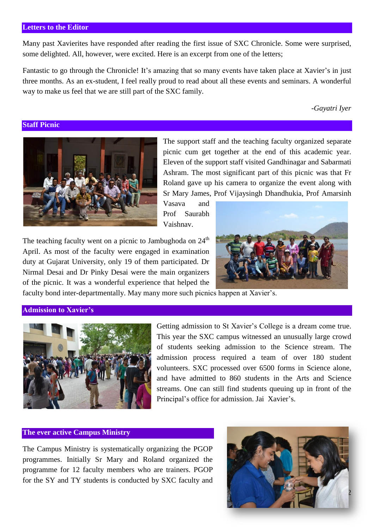#### **Letters to the Editor**

Many past Xavierites have responded after reading the first issue of SXC Chronicle. Some were surprised, some delighted. All, however, were excited. Here is an excerpt from one of the letters;

Fantastic to go through the Chronicle! It's amazing that so many events have taken place at Xavier's in just three months. As an ex-student, I feel really proud to read about all these events and seminars. A wonderful way to make us feel that we are still part of the SXC family.

*-Gayatri Iyer*

#### **Staff Picnic**



The support staff and the teaching faculty organized separate picnic cum get together at the end of this academic year. Eleven of the support staff visited Gandhinagar and Sabarmati Ashram. The most significant part of this picnic was that Fr Roland gave up his camera to organize the event along with Sr Mary James, Prof Vijaysingh Dhandhukia, Prof Amarsinh

Vasava and Prof Saurabh Vaishnav.

The teaching faculty went on a picnic to Jambughoda on  $24<sup>th</sup>$ April. As most of the faculty were engaged in examination duty at Gujarat University, only 19 of them participated. Dr Nirmal Desai and Dr Pinky Desai were the main organizers of the picnic. It was a wonderful experience that helped the



faculty bond inter-departmentally. May many more such picnics happen at Xavier's.

#### **Admission to Xavier's**



Getting admission to St Xavier's College is a dream come true. This year the SXC campus witnessed an unusually large crowd of students seeking admission to the Science stream. The admission process required a team of over 180 student volunteers. SXC processed over 6500 forms in Science alone, and have admitted to 860 students in the Arts and Science streams. One can still find students queuing up in front of the Principal's office for admission. Jai Xavier's.

#### **The ever active Campus Ministry**

The Campus Ministry is systematically organizing the PGOP programmes. Initially Sr Mary and Roland organized the programme for 12 faculty members who are trainers. PGOP for the SY and TY students is conducted by SXC faculty and

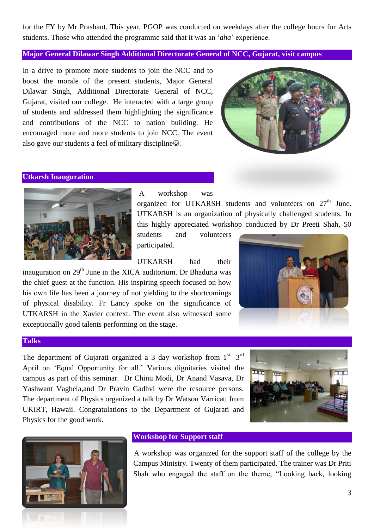for the FY by Mr Prashant. This year, PGOP was conducted on weekdays after the college hours for Arts students. Those who attended the programme said that it was an '*aha*' experience.

# **Major General Dilawar Singh Additional Directorate General of NCC, Gujarat, visit campus**

In a drive to promote more students to join the NCC and to boost the morale of the present students, Major General Dilawar Singh, Additional Directorate General of NCC, Gujarat, visited our college. He interacted with a large group of students and addressed them highlighting the significance and contributions of the NCC to nation building. He encouraged more and more students to join NCC. The event also gave our students a feel of military discipline $\odot$ .



# **Utkarsh Inauguration**



A workshop was

organized for UTKARSH students and volunteers on  $27<sup>th</sup>$  June. UTKARSH is an organization of physically challenged students. In this highly appreciated workshop conducted by Dr Preeti Shah, 50

students and volunteers participated.

UTKARSH had their inauguration on 29<sup>th</sup> June in the XICA auditorium. Dr Bhaduria was the chief guest at the function. His inspiring speech focused on how his own life has been a journey of not yielding to the shortcomings of physical disability. Fr Lancy spoke on the significance of UTKARSH in the Xavier context. The event also witnessed some exceptionally good talents performing on the stage.



#### **Talks**

The department of Gujarati organized a 3 day workshop from  $1<sup>st</sup> -3<sup>rd</sup>$ April on 'Equal Opportunity for all.' Various dignitaries visited the campus as part of this seminar. Dr Chinu Modi, Dr Anand Vasava, Dr Yashwant Vaghela,and Dr Pravin Gadhvi were the resource persons. The department of Physics organized a talk by Dr Watson Varricatt from UKIRT, Hawaii. Congratulations to the Department of Gujarati and Physics for the good work.





# **Workshop for Support staff**

A workshop was organized for the support staff of the college by the Campus Ministry. Twenty of them participated. The trainer was Dr Priti Shah who engaged the staff on the theme, "Looking back, looking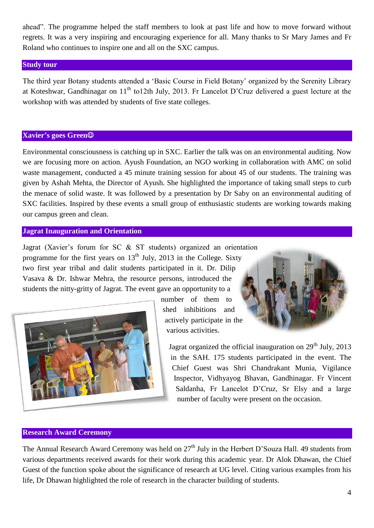ahead". The programme helped the staff members to look at past life and how to move forward without regrets. It was a very inspiring and encouraging experience for all. Many thanks to Sr Mary James and Fr Roland who continues to inspire one and all on the SXC campus.

### **Study tour**

The third year Botany students attended a 'Basic Course in Field Botany' organized by the Serenity Library at Koteshwar, Gandhinagar on 11<sup>th</sup> to12th July, 2013. Fr Lancelot D'Cruz delivered a guest lecture at the workshop with was attended by students of five state colleges.

### **Xavier's goes Green**

Environmental consciousness is catching up in SXC. Earlier the talk was on an environmental auditing. Now we are focusing more on action. Ayush Foundation, an NGO working in collaboration with AMC on solid waste management, conducted a 45 minute training session for about 45 of our students. The training was given by Ashah Mehta, the Director of Ayush. She highlighted the importance of taking small steps to curb the menace of solid waste. It was followed by a presentation by Dr Saby on an environmental auditing of SXC facilities. Inspired by these events a small group of enthusiastic students are working towards making our campus green and clean.

# **Jagrat Inauguration and Orientation**

Jagrat (Xavier's forum for SC & ST students) organized an orientation programme for the first years on  $13<sup>th</sup>$  July, 2013 in the College. Sixty two first year tribal and dalit students participated in it. Dr. Dilip Vasava & Dr. Ishwar Mehra, the resource persons, introduced the students the nitty-gritty of Jagrat. The event gave an opportunity to a



number of them to shed inhibitions and actively participate in the various activities.



Jagrat organized the official inauguration on  $29<sup>th</sup>$  July, 2013 in the SAH. 175 students participated in the event. The Chief Guest was Shri Chandrakant Munia, Vigilance Inspector, Vidhyayog Bhavan, Gandhinagar. Fr Vincent Saldanha, Fr Lancelot D'Cruz, Sr Elsy and a large number of faculty were present on the occasion.

#### **Research Award Ceremony**

The Annual Research Award Ceremony was held on 27<sup>th</sup> July in the Herbert D'Souza Hall. 49 students from various departments received awards for their work during this academic year. Dr Alok Dhawan, the Chief Guest of the function spoke about the significance of research at UG level. Citing various examples from his life, Dr Dhawan highlighted the role of research in the character building of students.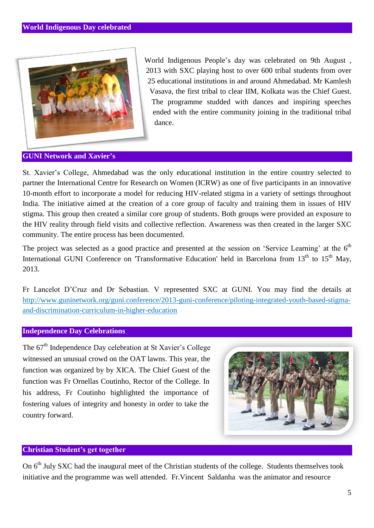

World Indigenous People's day was celebrated on 9th August , 2013 with SXC playing host to over 600 tribal students from over 25 educational institutions in and around Ahmedabad. Mr Kamlesh Vasava, the first tribal to clear IIM, Kolkata was the Chief Guest. The programme studded with dances and inspiring speeches ended with the entire community joining in the traditional tribal dance.

# **GUNI Network and Xavier's**

St. Xavier's College, Ahmedabad was the only educational institution in the entire country selected to partner the International Centre for Research on Women (ICRW) as one of five participants in an innovative 10-month effort to incorporate a model for reducing HIV-related stigma in a variety of settings throughout India. The initiative aimed at the creation of a core group of faculty and training them in issues of HIV stigma. This group then created a similar core group of students. Both groups were provided an exposure to the HIV reality through field visits and collective reflection. Awareness was then created in the larger SXC community. The entire process has been documented.

The project was selected as a good practice and presented at the session on 'Service Learning' at the  $6<sup>th</sup>$ International GUNI Conference on 'Transformative Education' held in Barcelona from  $13<sup>th</sup>$  to  $15<sup>th</sup>$  May, 2013.

Fr Lancelot D'Cruz and Dr Sebastian. V represented SXC at GUNI. You may find the details at [http://www.guninetwork.org/guni.conference/2013-guni-conference/piloting-integrated-youth-based-stigma](http://www.guninetwork.org/guni.conference/2013-guni-conference/piloting-integrated-youth-based-stigma-and-discrimination-curriculum-in-higher-education)[and-discrimination-curriculum-in-higher-education](http://www.guninetwork.org/guni.conference/2013-guni-conference/piloting-integrated-youth-based-stigma-and-discrimination-curriculum-in-higher-education)

#### **Independence Day Celebrations**

The 67<sup>th</sup> Independence Day celebration at St Xavier's College witnessed an unusual crowd on the OAT lawns. This year, the function was organized by by XICA. The Chief Guest of the function was Fr Ornellas Coutinho, Rector of the College. In his address, Fr Coutinho highlighted the importance of fostering values of integrity and honesty in order to take the country forward.



# **Christian Student's get together**

On 6<sup>th</sup> July SXC had the inaugural meet of the Christian students of the college. Students themselves took initiative and the programme was well attended. Fr.Vincent Saldanha was the animator and resource